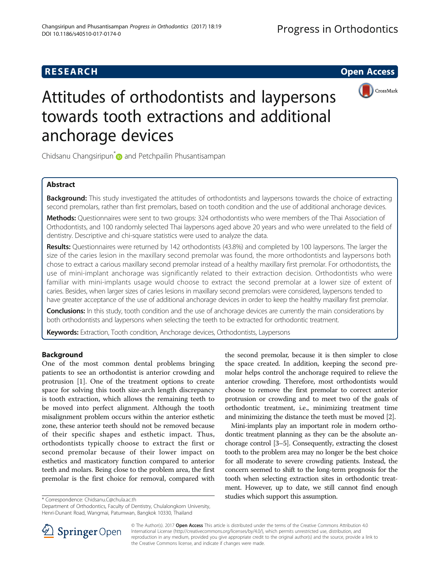# **RESEARCH CHILD CONTROL** CONTROL CONTROL CONTROL CONTROL CONTROL CONTROL CONTROL CONTROL CONTROL CONTROL CONTROL CONTROL CONTROL CONTROL CONTROL CONTROL CONTROL CONTROL CONTROL CONTROL CONTROL CONTROL CONTROL CONTROL CONTR



# Attitudes of orthodontists and laypersons towards tooth extractions and additional anchorage devices

Chidsanu Changsiripun<sup>\*</sup> and Petchpailin Phusantisampan

# Abstract

**Background:** This study investigated the attitudes of orthodontists and laypersons towards the choice of extracting second premolars, rather than first premolars, based on tooth condition and the use of additional anchorage devices.

Methods: Questionnaires were sent to two groups: 324 orthodontists who were members of the Thai Association of Orthodontists, and 100 randomly selected Thai laypersons aged above 20 years and who were unrelated to the field of dentistry. Descriptive and chi-square statistics were used to analyze the data.

Results: Questionnaires were returned by 142 orthodontists (43.8%) and completed by 100 laypersons. The larger the size of the caries lesion in the maxillary second premolar was found, the more orthodontists and laypersons both chose to extract a carious maxillary second premolar instead of a healthy maxillary first premolar. For orthodontists, the use of mini-implant anchorage was significantly related to their extraction decision. Orthodontists who were familiar with mini-implants usage would choose to extract the second premolar at a lower size of extent of caries. Besides, when larger sizes of caries lesions in maxillary second premolars were considered, laypersons tended to have greater acceptance of the use of additional anchorage devices in order to keep the healthy maxillary first premolar.

Conclusions: In this study, tooth condition and the use of anchorage devices are currently the main considerations by both orthodontists and laypersons when selecting the teeth to be extracted for orthodontic treatment.

Keywords: Extraction, Tooth condition, Anchorage devices, Orthodontists, Laypersons

# Background

One of the most common dental problems bringing patients to see an orthodontist is anterior crowding and protrusion [\[1](#page-5-0)]. One of the treatment options to create space for solving this tooth size-arch length discrepancy is tooth extraction, which allows the remaining teeth to be moved into perfect alignment. Although the tooth misalignment problem occurs within the anterior esthetic zone, these anterior teeth should not be removed because of their specific shapes and esthetic impact. Thus, orthodontists typically choose to extract the first or second premolar because of their lower impact on esthetics and masticatory function compared to anterior teeth and molars. Being close to the problem area, the first premolar is the first choice for removal, compared with

Department of Orthodontics, Faculty of Dentistry, Chulalongkorn University, Henri-Dunant Road, Wangmai, Patumwan, Bangkok 10330, Thailand

the second premolar, because it is then simpler to close the space created. In addition, keeping the second premolar helps control the anchorage required to relieve the anterior crowding. Therefore, most orthodontists would choose to remove the first premolar to correct anterior protrusion or crowding and to meet two of the goals of orthodontic treatment, i.e., minimizing treatment time and minimizing the distance the teeth must be moved [\[2\]](#page-5-0).

Mini-implants play an important role in modern orthodontic treatment planning as they can be the absolute anchorage control [\[3](#page-5-0)–[5](#page-5-0)]. Consequently, extracting the closest tooth to the problem area may no longer be the best choice for all moderate to severe crowding patients. Instead, the concern seemed to shift to the long-term prognosis for the tooth when selecting extraction sites in orthodontic treatment. However, up to date, we still cannot find enough \* Correspondence: [Chidsanu.C@chula.ac.th](mailto:Chidsanu.C@chula.ac.th) **studies which support this assumption.** 



© The Author(s). 2017 Open Access This article is distributed under the terms of the Creative Commons Attribution 4.0 International License ([http://creativecommons.org/licenses/by/4.0/\)](http://creativecommons.org/licenses/by/4.0/), which permits unrestricted use, distribution, and reproduction in any medium, provided you give appropriate credit to the original author(s) and the source, provide a link to the Creative Commons license, and indicate if changes were made.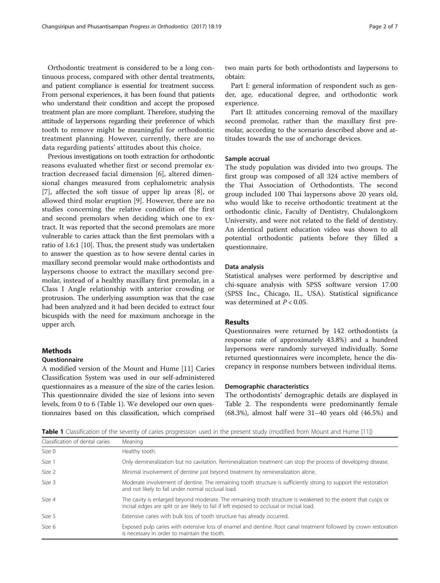Orthodontic treatment is considered to be a long continuous process, compared with other dental treatments, and patient compliance is essential for treatment success. From personal experiences, it has been found that patients who understand their condition and accept the proposed treatment plan are more compliant. Therefore, studying the attitude of laypersons regarding their preference of which tooth to remove might be meaningful for orthodontic treatment planning. However, currently, there are no data regarding patients' attitudes about this choice.

Previous investigations on tooth extraction for orthodontic reasons evaluated whether first or second premolar extraction decreased facial dimension [[6](#page-5-0)], altered dimensional changes measured from cephalometric analysis [[7\]](#page-5-0), affected the soft tissue of upper lip areas [\[8](#page-5-0)], or allowed third molar eruption [\[9](#page-5-0)]. However, there are no studies concerning the relative condition of the first and second premolars when deciding which one to extract. It was reported that the second premolars are more vulnerable to caries attack than the first premolars with a ratio of 1.6:1 [[10](#page-5-0)]. Thus, the present study was undertaken to answer the question as to how severe dental caries in maxillary second premolar would make orthodontists and laypersons choose to extract the maxillary second premolar, instead of a healthy maxillary first premolar, in a Class I Angle relationship with anterior crowding or protrusion. The underlying assumption was that the case had been analyzed and it had been decided to extract four bicuspids with the need for maximum anchorage in the upper arch.

## **Methods**

#### **Ouestionnaire**

A modified version of the Mount and Hume [[11\]](#page-5-0) Caries Classification System was used in our self-administered questionnaires as a measure of the size of the caries lesion. This questionnaire divided the size of lesions into seven levels, from 0 to 6 (Table 1). We developed our own questionnaires based on this classification, which comprised

two main parts for both orthodontists and laypersons to obtain:

Part I: general information of respondent such as gender, age, educational degree, and orthodontic work experience.

Part II: attitudes concerning removal of the maxillary second premolar, rather than the maxillary first premolar, according to the scenario described above and attitudes towards the use of anchorage devices.

#### Sample accrual

The study population was divided into two groups. The first group was composed of all 324 active members of the Thai Association of Orthodontists. The second group included 100 Thai laypersons above 20 years old, who would like to receive orthodontic treatment at the orthodontic clinic, Faculty of Dentistry, Chulalongkorn University, and were not related to the field of dentistry. An identical patient education video was shown to all potential orthodontic patients before they filled a questionnaire.

#### Data analysis

Statistical analyses were performed by descriptive and chi-square analysis with SPSS software version 17.00 (SPSS Inc., Chicago, IL, USA). Statistical significance was determined at  $P < 0.05$ .

#### Results

Questionnaires were returned by 142 orthodontists (a response rate of approximately 43.8%) and a hundred laypersons were randomly surveyed individually. Some returned questionnaires were incomplete, hence the discrepancy in response numbers between individual items.

#### Demographic characteristics

The orthodontists' demographic details are displayed in Table [2](#page-2-0). The respondents were predominantly female (68.3%), almost half were 31–40 years old (46.5%) and

**Table 1** Classification of the severity of caries progression used in the present study (modified from Mount and Hume [\[11\]](#page-5-0))

| Classification of dental caries | Meaning                                                                                                                                                                                                     |
|---------------------------------|-------------------------------------------------------------------------------------------------------------------------------------------------------------------------------------------------------------|
| Size 0                          | Healthy tooth.                                                                                                                                                                                              |
| Size 1                          | Only demineralization but no cavitation. Remineralization treatment can stop the process of developing disease.                                                                                             |
| Size 2                          | Minimal involvement of dentine just beyond treatment by remineralization alone.                                                                                                                             |
| Size 3                          | Moderate involvement of dentine. The remaining tooth structure is sufficiently strong to support the restoration<br>and not likely to fail under normal occlusal load.                                      |
| Size 4                          | The cavity is enlarged beyond moderate. The remaining tooth structure is weakened to the extent that cusps or<br>incisal edges are split or are likely to fail if left exposed to occlusal or incisal load. |
| Size 5                          | Extensive caries with bulk loss of tooth structure has already occurred.                                                                                                                                    |
| Size 6                          | Exposed pulp caries with extensive loss of enamel and dentine. Root canal treatment followed by crown restoration<br>is necessary in order to maintain the tooth.                                           |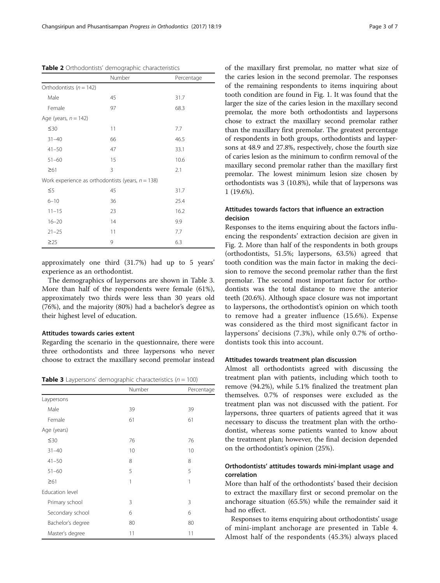<span id="page-2-0"></span>Table 2 Orthodontists' demographic characteristics

|                                                      | Number | Percentage |  |  |
|------------------------------------------------------|--------|------------|--|--|
| Orthodontists ( $n = 142$ )                          |        |            |  |  |
| Male                                                 | 45     | 31.7       |  |  |
| Female                                               | 97     | 68.3       |  |  |
| Age (years, $n = 142$ )                              |        |            |  |  |
| $\leq 30$                                            | 11     | 7.7        |  |  |
| $31 - 40$                                            | 66     | 46.5       |  |  |
| $41 - 50$                                            | 47     | 33.1       |  |  |
| $51 - 60$                                            | 15     | 10.6       |  |  |
| $\geq 61$                                            | 3      | 2.1        |  |  |
| Work experience as orthodontists (years, $n = 138$ ) |        |            |  |  |
| $\leq$ 5                                             | 45     | 31.7       |  |  |
| $6 - 10$                                             | 36     | 25.4       |  |  |
| $11 - 15$                                            | 23     | 16.2       |  |  |
| $16 - 20$                                            | 14     | 9.9        |  |  |
| $21 - 25$                                            | 11     | 7.7        |  |  |
| $\geq$ 25                                            | 9      | 6.3        |  |  |

approximately one third (31.7%) had up to 5 years' experience as an orthodontist.

The demographics of laypersons are shown in Table 3. More than half of the respondents were female (61%), approximately two thirds were less than 30 years old (76%), and the majority (80%) had a bachelor's degree as their highest level of education.

## Attitudes towards caries extent

Regarding the scenario in the questionnaire, there were three orthodontists and three laypersons who never choose to extract the maxillary second premolar instead

**Table 3** Laypersons' demographic characteristics ( $n = 100$ )

|                   | Number | Percentage |
|-------------------|--------|------------|
| Laypersons        |        |            |
| Male              | 39     | 39         |
| Female            | 61     | 61         |
| Age (years)       |        |            |
| $\leq 30$         | 76     | 76         |
| $31 - 40$         | 10     | 10         |
| $41 - 50$         | 8      | 8          |
| $51 - 60$         | 5      | 5          |
| $\geq 61$         | 1      | 1          |
| Education level   |        |            |
| Primary school    | 3      | 3          |
| Secondary school  | 6      | 6          |
| Bachelor's degree | 80     | 80         |
| Master's degree   | 11     | 11         |

of the maxillary first premolar, no matter what size of the caries lesion in the second premolar. The responses of the remaining respondents to items inquiring about tooth condition are found in Fig. [1](#page-3-0). It was found that the larger the size of the caries lesion in the maxillary second premolar, the more both orthodontists and laypersons chose to extract the maxillary second premolar rather than the maxillary first premolar. The greatest percentage of respondents in both groups, orthodontists and laypersons at 48.9 and 27.8%, respectively, chose the fourth size of caries lesion as the minimum to confirm removal of the maxillary second premolar rather than the maxillary first premolar. The lowest minimum lesion size chosen by orthodontists was 3 (10.8%), while that of laypersons was 1 (19.6%).

#### Attitudes towards factors that influence an extraction decision

Responses to the items enquiring about the factors influencing the respondents' extraction decision are given in Fig. [2](#page-3-0). More than half of the respondents in both groups (orthodontists, 51.5%; laypersons, 63.5%) agreed that tooth condition was the main factor in making the decision to remove the second premolar rather than the first premolar. The second most important factor for orthodontists was the total distance to move the anterior teeth (20.6%). Although space closure was not important to laypersons, the orthodontist's opinion on which tooth to remove had a greater influence (15.6%). Expense was considered as the third most significant factor in laypersons' decisions (7.3%), while only 0.7% of orthodontists took this into account.

#### Attitudes towards treatment plan discussion

Almost all orthodontists agreed with discussing the treatment plan with patients, including which tooth to remove (94.2%), while 5.1% finalized the treatment plan themselves. 0.7% of responses were excluded as the treatment plan was not discussed with the patient. For laypersons, three quarters of patients agreed that it was necessary to discuss the treatment plan with the orthodontist, whereas some patients wanted to know about the treatment plan; however, the final decision depended on the orthodontist's opinion (25%).

## Orthodontists' attitudes towards mini-implant usage and correlation

More than half of the orthodontists' based their decision to extract the maxillary first or second premolar on the anchorage situation (65.5%) while the remainder said it had no effect.

Responses to items enquiring about orthodontists' usage of mini-implant anchorage are presented in Table [4](#page-4-0). Almost half of the respondents (45.3%) always placed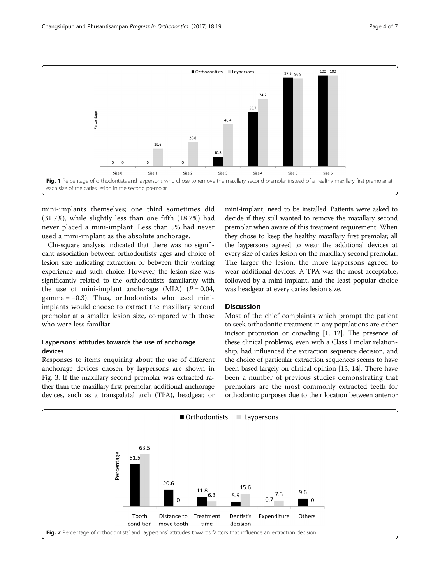<span id="page-3-0"></span>

mini-implants themselves; one third sometimes did (31.7%), while slightly less than one fifth (18.7%) had never placed a mini-implant. Less than 5% had never used a mini-implant as the absolute anchorage.

Chi-square analysis indicated that there was no significant association between orthodontists' ages and choice of lesion size indicating extraction or between their working experience and such choice. However, the lesion size was significantly related to the orthodontists' familiarity with the use of mini-implant anchorage (MIA)  $(P = 0.04,$  $gamma = -0.3$ ). Thus, orthodontists who used miniimplants would choose to extract the maxillary second premolar at a smaller lesion size, compared with those who were less familiar.

## Laypersons' attitudes towards the use of anchorage devices

Responses to items enquiring about the use of different anchorage devices chosen by laypersons are shown in Fig. [3](#page-4-0). If the maxillary second premolar was extracted rather than the maxillary first premolar, additional anchorage devices, such as a transpalatal arch (TPA), headgear, or

mini-implant, need to be installed. Patients were asked to decide if they still wanted to remove the maxillary second premolar when aware of this treatment requirement. When they chose to keep the healthy maxillary first premolar, all the laypersons agreed to wear the additional devices at every size of caries lesion on the maxillary second premolar. The larger the lesion, the more laypersons agreed to wear additional devices. A TPA was the most acceptable, followed by a mini-implant, and the least popular choice was headgear at every caries lesion size.

## **Discussion**

Most of the chief complaints which prompt the patient to seek orthodontic treatment in any populations are either incisor protrusion or crowding [\[1, 12](#page-5-0)]. The presence of these clinical problems, even with a Class I molar relationship, had influenced the extraction sequence decision, and the choice of particular extraction sequences seems to have been based largely on clinical opinion [\[13, 14\]](#page-5-0). There have been a number of previous studies demonstrating that premolars are the most commonly extracted teeth for orthodontic purposes due to their location between anterior

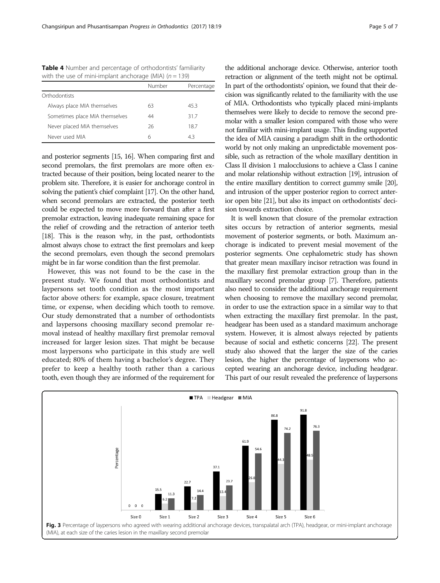<span id="page-4-0"></span>Table 4 Number and percentage of orthodontists' familiarity with the use of mini-implant anchorage (MIA) ( $n = 139$ )

|                                | Number | Percentage |
|--------------------------------|--------|------------|
| Orthodontists                  |        |            |
| Always place MIA themselves    | 63     | 45.3       |
| Sometimes place MIA themselves | 44     | 31.7       |
| Never placed MIA themselves    | 26     | 18.7       |
| Never used MIA                 | 6      | 4.3        |

and posterior segments [\[15](#page-5-0), [16\]](#page-5-0). When comparing first and second premolars, the first premolars are more often extracted because of their position, being located nearer to the problem site. Therefore, it is easier for anchorage control in solving the patient's chief complaint [[17\]](#page-5-0). On the other hand, when second premolars are extracted, the posterior teeth could be expected to move more forward than after a first premolar extraction, leaving inadequate remaining space for the relief of crowding and the retraction of anterior teeth [[18\]](#page-6-0). This is the reason why, in the past, orthodontists almost always chose to extract the first premolars and keep the second premolars, even though the second premolars might be in far worse condition than the first premolar.

However, this was not found to be the case in the present study. We found that most orthodontists and laypersons set tooth condition as the most important factor above others: for example, space closure, treatment time, or expense, when deciding which tooth to remove. Our study demonstrated that a number of orthodontists and laypersons choosing maxillary second premolar removal instead of healthy maxillary first premolar removal increased for larger lesion sizes. That might be because most laypersons who participate in this study are well educated; 80% of them having a bachelor's degree. They prefer to keep a healthy tooth rather than a carious tooth, even though they are informed of the requirement for

the additional anchorage device. Otherwise, anterior tooth retraction or alignment of the teeth might not be optimal. In part of the orthodontists' opinion, we found that their decision was significantly related to the familiarity with the use of MIA. Orthodontists who typically placed mini-implants themselves were likely to decide to remove the second premolar with a smaller lesion compared with those who were not familiar with mini-implant usage. This finding supported the idea of MIA causing a paradigm shift in the orthodontic world by not only making an unpredictable movement possible, such as retraction of the whole maxillary dentition in Class II division 1 malocclusions to achieve a Class I canine and molar relationship without extraction [\[19](#page-6-0)], intrusion of the entire maxillary dentition to correct gummy smile [\[20\]](#page-6-0), and intrusion of the upper posterior region to correct anterior open bite [\[21](#page-6-0)], but also its impact on orthodontists' decision towards extraction choice.

It is well known that closure of the premolar extraction sites occurs by retraction of anterior segments, mesial movement of posterior segments, or both. Maximum anchorage is indicated to prevent mesial movement of the posterior segments. One cephalometric study has shown that greater mean maxillary incisor retraction was found in the maxillary first premolar extraction group than in the maxillary second premolar group [\[7\]](#page-5-0). Therefore, patients also need to consider the additional anchorage requirement when choosing to remove the maxillary second premolar, in order to use the extraction space in a similar way to that when extracting the maxillary first premolar. In the past, headgear has been used as a standard maximum anchorage system. However, it is almost always rejected by patients because of social and esthetic concerns [\[22\]](#page-6-0). The present study also showed that the larger the size of the caries lesion, the higher the percentage of laypersons who accepted wearing an anchorage device, including headgear. This part of our result revealed the preference of laypersons

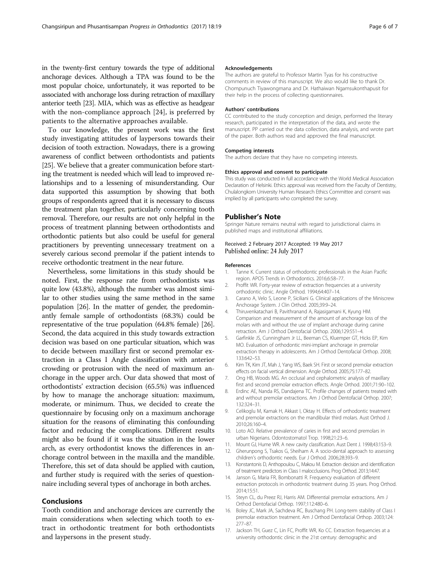<span id="page-5-0"></span>in the twenty-first century towards the type of additional anchorage devices. Although a TPA was found to be the most popular choice, unfortunately, it was reported to be associated with anchorage loss during retraction of maxillary anterior teeth [\[23\]](#page-6-0). MIA, which was as effective as headgear with the non-compliance approach [[24\]](#page-6-0), is preferred by patients to the alternative approaches available.

To our knowledge, the present work was the first study investigating attitudes of laypersons towards their decision of tooth extraction. Nowadays, there is a growing awareness of conflict between orthodontists and patients [[25](#page-6-0)]. We believe that a greater communication before starting the treatment is needed which will lead to improved relationships and to a lessening of misunderstanding. Our data supported this assumption by showing that both groups of respondents agreed that it is necessary to discuss the treatment plan together, particularly concerning tooth removal. Therefore, our results are not only helpful in the process of treatment planning between orthodontists and orthodontic patients but also could be useful for general practitioners by preventing unnecessary treatment on a severely carious second premolar if the patient intends to receive orthodontic treatment in the near future.

Nevertheless, some limitations in this study should be noted. First, the response rate from orthodontists was quite low (43.8%), although the number was almost similar to other studies using the same method in the same population [\[26\]](#page-6-0). In the matter of gender, the predominantly female sample of orthodontists (68.3%) could be representative of the true population (64.8% female) [[26](#page-6-0)]. Second, the data acquired in this study towards extraction decision was based on one particular situation, which was to decide between maxillary first or second premolar extraction in a Class I Angle classification with anterior crowding or protrusion with the need of maximum anchorage in the upper arch. Our data showed that most of orthodontists' extraction decision (65.5%) was influenced by how to manage the anchorage situation: maximum, moderate, or minimum. Thus, we decided to create the questionnaire by focusing only on a maximum anchorage situation for the reasons of eliminating this confounding factor and reducing the complications. Different results might also be found if it was the situation in the lower arch, as every orthodontist knows the differences in anchorage control between in the maxilla and the mandible. Therefore, this set of data should be applied with caution, and further study is required with the series of questionnaire including several types of anchorage in both arches.

#### Conclusions

Tooth condition and anchorage devices are currently the main considerations when selecting which tooth to extract in orthodontic treatment for both orthodontists and laypersons in the present study.

#### Acknowledgements

The authors are grateful to Professor Martin Tyas for his constructive comments in review of this manuscript. We also would like to thank Dr. Chompunuch Tiyawongmana and Dr. Hathaiwan Ngamsukonthapusit for their help in the process of collecting questionnaires.

#### Authors' contributions

CC contributed to the study conception and design, performed the literary research, participated in the interpretation of the data, and wrote the manuscript. PP carried out the data collection, data analysis, and wrote part of the paper. Both authors read and approved the final manuscript.

#### Competing interests

The authors declare that they have no competing interests.

#### Ethics approval and consent to participate

This study was conducted in full accordance with the World Medical Association Declaration of Helsinki. Ethics approval was received from the Faculty of Dentistry, Chulalongkorn University Human Research Ethics Committee and consent was implied by all participants who completed the survey.

#### Publisher's Note

Springer Nature remains neutral with regard to jurisdictional claims in published maps and institutional affiliations.

# Received: 2 February 2017 Accepted: 19 May 2017<br>Published online: 24 July 2017

#### References

- 1. Tanne K. Current status of orthodontic professionals in the Asian Pacific region. APOS Trends in Orthodontics. 2016;6:58–77.
- 2. Proffit WR. Forty-year review of extraction frequencies at a university orthodontic clinic. Angle Orthod. 1994;64:407–14.
- 3. Carano A, Velo S, Leone P, Siciliani G. Clinical applications of the Miniscrew Anchorage System. J Clin Orthod. 2005;39:9–24.
- 4. Thiruvenkatachari B, Pavithranand A, Rajasigamani K, Kyung HM. Comparison and measurement of the amount of anchorage loss of the molars with and without the use of implant anchorage during canine retraction. Am J Orthod Dentofacial Orthop. 2006;129:551–4.
- 5. Garfinkle JS, Cunningham Jr LL, Beeman CS, Kluemper GT, Hicks EP, Kim MO. Evaluation of orthodontic mini-implant anchorage in premolar extraction therapy in adolescents. Am J Orthod Dentofacial Orthop. 2008; 133:642–53.
- 6. Kim TK, Kim JT, Mah J, Yang WS, Baek SH. First or second premolar extraction effects on facial vertical dimension. Angle Orthod. 2005;75:177–82.
- 7. Ong HB, Woods MG. An occlusal and cephalometric analysis of maxillary first and second premolar extraction effects. Angle Orthod. 2001;71:90–102.
- 8. Erdinc AE, Nanda RS, Dandajena TC. Profile changes of patients treated with and without premolar extractions. Am J Orthod Dentofacial Orthop. 2007; 132:324–31.
- 9. Celikoglu M, Kamak H, Akkast I, Oktay H. Effects of orthodontic treatment and premolar extractions on the mandibular third molars. Aust Orthod J. 2010;26:160–4.
- 10. Loto AO. Relative prevalence of caries in first and second premolars in urban Nigerians. Odontostomatol Trop. 1998;21:23–6.
- 11. Mount GJ, Hume WR. A new cavity classification. Aust Dent J. 1998;43:153–9.
- 12. Gherunpong S, Tsakos G, Sheiham A. A socio-dental approach to assessing children's orthodontic needs. Eur J Orthod. 2006;28:393–9.
- 13. Konstantonis D, Anthopoulou C, Makou M. Extraction decision and identification of treatment predictors in Class I malocclusions. Prog Orthod. 2013;14:47.
- 14. Janson G, Maria FR, Bombonatti R. Frequency evaluation of different extraction protocols in orthodontic treatment during 35 years. Prog Orthod. 2014;15:51.
- 15. Steyn CL, du Preez RJ, Harris AM. Differential premolar extractions. Am J Orthod Dentofacial Orthop. 1997;112:480–6.
- 16. Boley JC, Mark JA, Sachdeva RC, Buschang PH. Long-term stability of Class I premolar extraction treatment. Am J Orthod Dentofacial Orthop. 2003;124: 277–87.
- 17. Jackson TH, Guez C, Lin FC, Proffit WR, Ko CC. Extraction frequencies at a university orthodontic clinic in the 21st century: demographic and